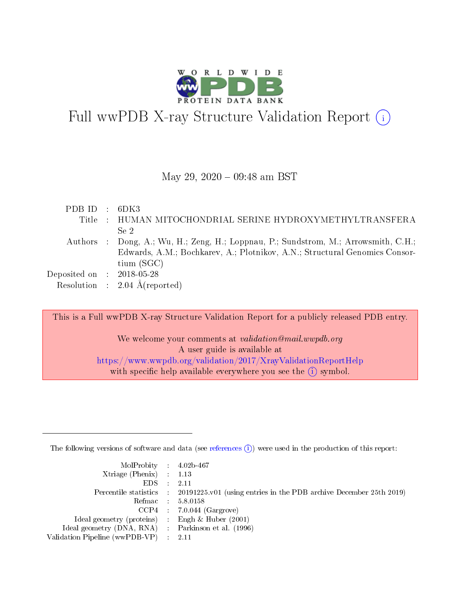

# Full wwPDB X-ray Structure Validation Report (i)

### May 29, 2020 - 09:48 am BST

| PDB ID : $6DK3$                      |                                                                                     |
|--------------------------------------|-------------------------------------------------------------------------------------|
|                                      | Title : HUMAN MITOCHONDRIAL SERINE HYDROXYMETHYLTRANSFERA                           |
|                                      | Se <sub>2</sub>                                                                     |
|                                      | Authors : Dong, A.; Wu, H.; Zeng, H.; Loppnau, P.; Sundstrom, M.; Arrowsmith, C.H.; |
|                                      | Edwards, A.M.; Bochkarev, A.; Plotnikov, A.N.; Structural Genomics Consor-          |
|                                      | $\text{tium}(\text{SGC})$                                                           |
| Deposited on $\therefore$ 2018-05-28 |                                                                                     |
|                                      | Resolution : $2.04 \text{ Å}$ (reported)                                            |
|                                      |                                                                                     |

This is a Full wwPDB X-ray Structure Validation Report for a publicly released PDB entry.

We welcome your comments at validation@mail.wwpdb.org A user guide is available at <https://www.wwpdb.org/validation/2017/XrayValidationReportHelp> with specific help available everywhere you see the  $(i)$  symbol.

The following versions of software and data (see [references](https://www.wwpdb.org/validation/2017/XrayValidationReportHelp#references)  $(i)$ ) were used in the production of this report:

| $MolProbability$ 4.02b-467<br>Xtriage (Phenix) $: 1.13$ |                                                                                                     |
|---------------------------------------------------------|-----------------------------------------------------------------------------------------------------|
| $EDS$ :                                                 | -2.11<br>Percentile statistics : 20191225.v01 (using entries in the PDB archive December 25th 2019) |
|                                                         | Refmac : 5.8.0158                                                                                   |
|                                                         | $CCP4$ : 7.0.044 (Gargrove)                                                                         |
| Ideal geometry (proteins) : Engh $\&$ Huber (2001)      |                                                                                                     |
| Ideal geometry (DNA, RNA) : Parkinson et al. (1996)     |                                                                                                     |
| Validation Pipeline (wwPDB-VP) :                        | -2.11                                                                                               |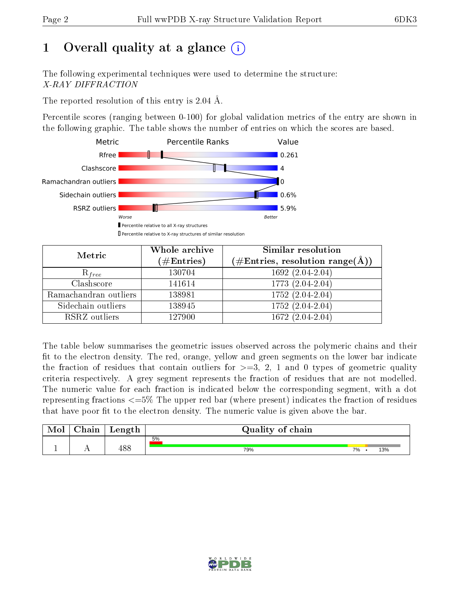# 1 [O](https://www.wwpdb.org/validation/2017/XrayValidationReportHelp#overall_quality)verall quality at a glance  $(i)$

The following experimental techniques were used to determine the structure: X-RAY DIFFRACTION

The reported resolution of this entry is 2.04 Å.

Percentile scores (ranging between 0-100) for global validation metrics of the entry are shown in the following graphic. The table shows the number of entries on which the scores are based.



| Metric                | Whole archive<br>$(\#\mathrm{Entries})$ | Similar resolution<br>$(\#\text{Entries}, \text{resolution range}(\textup{\AA}))$ |
|-----------------------|-----------------------------------------|-----------------------------------------------------------------------------------|
| $R_{free}$            | 130704                                  | $1692(2.04-2.04)$                                                                 |
| Clashscore            | 141614                                  | 1773 (2.04-2.04)                                                                  |
| Ramachandran outliers | 138981                                  | $1752 (2.04 - 2.04)$                                                              |
| Sidechain outliers    | 138945                                  | 1752 (2.04-2.04)                                                                  |
| RSRZ outliers         | 127900                                  | 1672 (2.04-2.04)                                                                  |

The table below summarises the geometric issues observed across the polymeric chains and their fit to the electron density. The red, orange, yellow and green segments on the lower bar indicate the fraction of residues that contain outliers for  $>=3, 2, 1$  and 0 types of geometric quality criteria respectively. A grey segment represents the fraction of residues that are not modelled. The numeric value for each fraction is indicated below the corresponding segment, with a dot representing fractions  $\epsilon=5\%$  The upper red bar (where present) indicates the fraction of residues that have poor fit to the electron density. The numeric value is given above the bar.

| Mol | $\cap$ hain | Length | Quality of chain |    |     |
|-----|-------------|--------|------------------|----|-----|
|     |             |        | 5%               |    |     |
|     | . .         | 488    | 79%              | 7% | 13% |

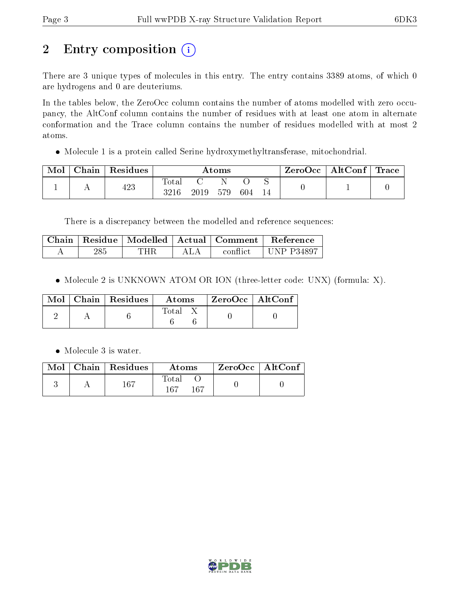# 2 Entry composition (i)

There are 3 unique types of molecules in this entry. The entry contains 3389 atoms, of which 0 are hydrogens and 0 are deuteriums.

In the tables below, the ZeroOcc column contains the number of atoms modelled with zero occupancy, the AltConf column contains the number of residues with at least one atom in alternate conformation and the Trace column contains the number of residues modelled with at most 2 atoms.

Molecule 1 is a protein called Serine hydroxymethyltransferase, mitochondrial.

| Mol | Chain   Residues | $\rm{Atoms}$        |      |     |     | $\text{ZeroOcc} \mid \text{AltConf} \mid \text{Trace}$ |  |  |
|-----|------------------|---------------------|------|-----|-----|--------------------------------------------------------|--|--|
|     | 423              | $\rm Total$<br>3216 | 2019 | 579 | 604 |                                                        |  |  |

There is a discrepancy between the modelled and reference sequences:

| Chain |     |      | Residue   Modelled   Actual   Comment | <b>Reference</b> |
|-------|-----|------|---------------------------------------|------------------|
|       | 285 | "HR- | .conflict                             | UNP $P34897$     |

• Molecule 2 is UNKNOWN ATOM OR ION (three-letter code: UNX) (formula: X).

|  | $\sqrt{\text{Mol}}$   Chain   Residues | Atoms | ZeroOcc   AltConf |  |
|--|----------------------------------------|-------|-------------------|--|
|  |                                        | Total |                   |  |

• Molecule 3 is water.

|  | Mol   Chain   Residues | Atoms               | $\mid$ ZeroOcc $\mid$ AltConf |  |
|--|------------------------|---------------------|-------------------------------|--|
|  | -167                   | Total<br>167<br>167 |                               |  |

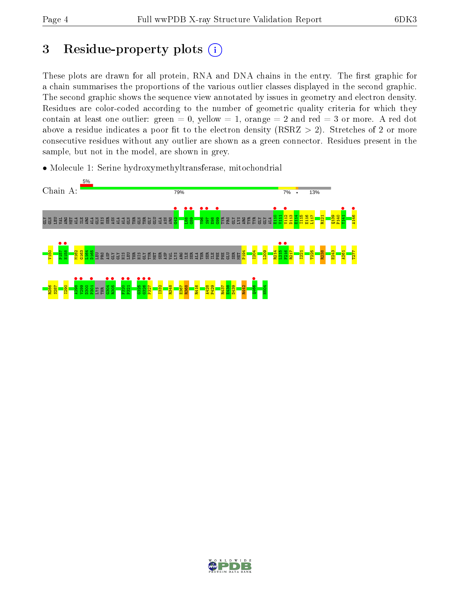## 3 Residue-property plots  $(i)$

These plots are drawn for all protein, RNA and DNA chains in the entry. The first graphic for a chain summarises the proportions of the various outlier classes displayed in the second graphic. The second graphic shows the sequence view annotated by issues in geometry and electron density. Residues are color-coded according to the number of geometric quality criteria for which they contain at least one outlier: green  $= 0$ , yellow  $= 1$ , orange  $= 2$  and red  $= 3$  or more. A red dot above a residue indicates a poor fit to the electron density (RSRZ  $> 2$ ). Stretches of 2 or more consecutive residues without any outlier are shown as a green connector. Residues present in the sample, but not in the model, are shown in grey.

• Molecule 1: Serine hydroxymethyltransferase, mitochondrial



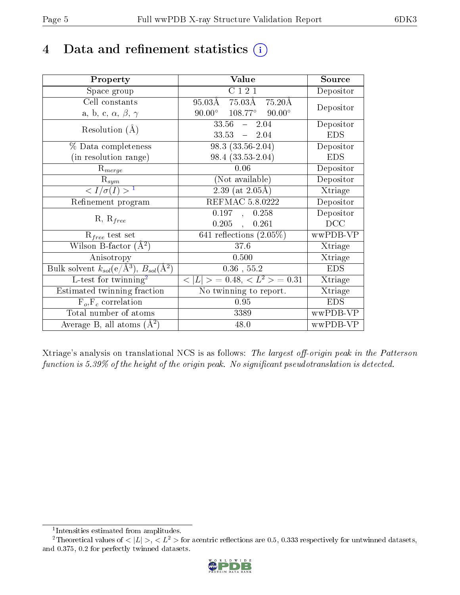## 4 Data and refinement statistics  $(i)$

| Property                                                         | Value                                            | Source     |
|------------------------------------------------------------------|--------------------------------------------------|------------|
| Space group                                                      | C121                                             | Depositor  |
| Cell constants                                                   | 95.03Å 75.03Å 75.20Å                             | Depositor  |
| a, b, c, $\alpha$ , $\beta$ , $\gamma$                           | $90.00^{\circ}$ $108.77^{\circ}$ $90.00^{\circ}$ |            |
| Resolution $(A)$                                                 | $33.56 - 2.04$                                   | Depositor  |
|                                                                  | $33.53 = 2.04$                                   | <b>EDS</b> |
| $\%$ Data completeness                                           | $98.3(33.56-2.04)$                               | Depositor  |
| (in resolution range)                                            | $98.4(33.53-2.04)$                               | <b>EDS</b> |
| $R_{merge}$                                                      | 0.06                                             | Depositor  |
| $\mathrm{R}_{sym}$                                               | (Not available)                                  | Depositor  |
| $\langle I/\sigma(I) \rangle^{-1}$                               | $2.39$ (at $2.05\text{\AA}$ )                    | Xtriage    |
| Refinement program                                               | <b>REFMAC 5.8.0222</b>                           | Depositor  |
|                                                                  | 0.197,<br>0.258                                  | Depositor  |
| $R, R_{free}$                                                    | $0.205$ ,<br>0.261                               | DCC        |
| $R_{free}$ test set                                              | 641 reflections $(2.05\%)$                       | wwPDB-VP   |
| Wilson B-factor $(A^2)$                                          | 37.6                                             | Xtriage    |
| Anisotropy                                                       | 0.500                                            | Xtriage    |
| Bulk solvent $k_{sol}(\text{e}/\text{A}^3), B_{sol}(\text{A}^2)$ | $0.36$ , 55.2                                    | <b>EDS</b> |
| L-test for $\mathrm{twinning}^2$                                 | $< L >$ = 0.48, $< L2 >$ = 0.31                  | Xtriage    |
| Estimated twinning fraction                                      | No twinning to report.                           | Xtriage    |
| $\overline{F_o}, \overline{F_c}$ correlation                     | 0.95                                             | <b>EDS</b> |
| Total number of atoms                                            | 3389                                             | wwPDB-VP   |
| Average B, all atoms $(A^2)$                                     | 48.0                                             | wwPDB-VP   |

Xtriage's analysis on translational NCS is as follows: The largest off-origin peak in the Patterson function is  $5.39\%$  of the height of the origin peak. No significant pseudotranslation is detected.

<sup>&</sup>lt;sup>2</sup>Theoretical values of  $\langle |L| \rangle$ ,  $\langle L^2 \rangle$  for acentric reflections are 0.5, 0.333 respectively for untwinned datasets, and 0.375, 0.2 for perfectly twinned datasets.



<span id="page-4-1"></span><span id="page-4-0"></span><sup>1</sup> Intensities estimated from amplitudes.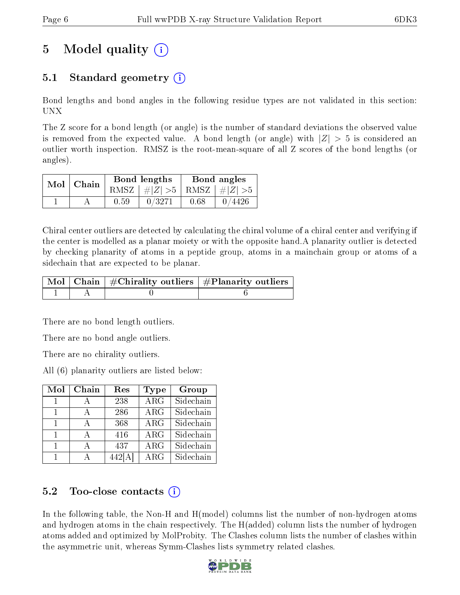# 5 Model quality  $(i)$

### 5.1 Standard geometry  $\overline{()}$

Bond lengths and bond angles in the following residue types are not validated in this section: UNX

The Z score for a bond length (or angle) is the number of standard deviations the observed value is removed from the expected value. A bond length (or angle) with  $|Z| > 5$  is considered an outlier worth inspection. RMSZ is the root-mean-square of all Z scores of the bond lengths (or angles).

|  | $Mol$   Chain |      | Bond lengths                    | Bond angles |        |  |
|--|---------------|------|---------------------------------|-------------|--------|--|
|  |               |      | RMSZ $ #Z  > 5$ RMSZ $ #Z  > 5$ |             |        |  |
|  |               | 0.59 | 0/3271                          | 0.68        | 0/4426 |  |

Chiral center outliers are detected by calculating the chiral volume of a chiral center and verifying if the center is modelled as a planar moiety or with the opposite hand.A planarity outlier is detected by checking planarity of atoms in a peptide group, atoms in a mainchain group or atoms of a sidechain that are expected to be planar.

|  | $\mid$ Mol $\mid$ Chain $\mid$ #Chirality outliers $\mid$ #Planarity outliers $\mid$ |
|--|--------------------------------------------------------------------------------------|
|  |                                                                                      |

There are no bond length outliers.

There are no bond angle outliers.

There are no chirality outliers.

All (6) planarity outliers are listed below:

| Mol | Chain | Res                 | Type                    | Group     |
|-----|-------|---------------------|-------------------------|-----------|
|     |       | 238                 | $\overline{\text{ARG}}$ | Sidechain |
|     |       | 286                 | ARG                     | Sidechain |
|     |       | 368                 | ARG                     | Sidechain |
|     |       | 416                 | $\rm{ARG}$              | Sidechain |
|     |       | 437                 | ARG                     | Sidechain |
|     |       | $\overline{4}42[A]$ | ARG                     | Sidechain |

### 5.2 Too-close contacts  $\binom{1}{1}$

In the following table, the Non-H and H(model) columns list the number of non-hydrogen atoms and hydrogen atoms in the chain respectively. The H(added) column lists the number of hydrogen atoms added and optimized by MolProbity. The Clashes column lists the number of clashes within the asymmetric unit, whereas Symm-Clashes lists symmetry related clashes.

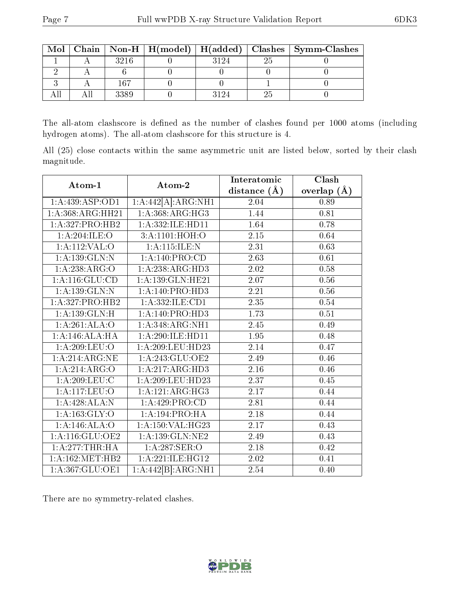| Mol |      |     | Chain   Non-H   $H(model)$   $H(added)$   Clashes   Symm-Clashes |
|-----|------|-----|------------------------------------------------------------------|
|     | 3216 | -94 |                                                                  |
|     |      |     |                                                                  |
|     | 167  |     |                                                                  |
|     | 3389 |     |                                                                  |

The all-atom clashscore is defined as the number of clashes found per 1000 atoms (including hydrogen atoms). The all-atom clashscore for this structure is 4.

All (25) close contacts within the same asymmetric unit are listed below, sorted by their clash magnitude.

| Atom-1                      | Atom-2               | Interatomic      | Clash         |  |
|-----------------------------|----------------------|------------------|---------------|--|
|                             |                      | distance $(\AA)$ | overlap $(A)$ |  |
| 1: A: 439: ASP: OD1         | 1:A:442[A]:ARG:NH1   | 2.04             | 0.89          |  |
| 1:A:368:ARG:HH21            | 1: A: 368:ARG:HG3    | 1.44             | 0.81          |  |
| 1:A:327:PRO:HB2             | 1:A:332:ILE:HD11     | 1.64             | 0.78          |  |
| 1:A:204:ILE:O               | 3:A:1101:HOH:O       | $2.15\,$         | 0.64          |  |
| 1: A:112: VAL:O             | 1: A:115: ILE:N      | 2.31             | 0.63          |  |
| 1: A: 139: GLN:N            | 1:A:140:PRO:CD       | 2.63             | 0.61          |  |
| 1:A:238:ARG:O               | 1:A:238:ARG:HD3      | 2.02             | 0.58          |  |
| 1: A: 116: GLU: CD          | 1: A: 139: GLN: HE21 | $2.07\,$         | 0.56          |  |
| 1: A: 139: GLN:N            | 1:A:140:PRO:HD3      | $2.21\,$         | 0.56          |  |
| 1:A:327:PRO:HB2             | 1:A:332:ILE:CD1      | 2.35             | 0.54          |  |
| 1: A: 139: GLN: H           | 1:A:140:PRO:HD3      | 1.73             | 0.51          |  |
| 1:A:261:ALA:O               | 1:A:348:ARG:NH1      | 2.45             | 0.49          |  |
| 1:A:146:ALA:HA              | 1:A:290:II.E:HDI1    | 1.95             | $0.48\,$      |  |
| 1:A:209:LEU:O               | 1: A:209:LEU:HD23    | 2.14             | 0.47          |  |
| $1:A:\overline{214:ARG:NE}$ | 1: A:243: GLU:OE2    | 2.49             | 0.46          |  |
| 1:A:214:ARG:O               | 1:A:217:ARG:HD3      | 2.16             | 0.46          |  |
| 1: A:209:LEU:C              | 1:A:209:LEU:HD23     | 2.37             | 0.45          |  |
| 1:A:117:LEU:O               | 1:A:121:ARG:HG3      | 2.17             | 0.44          |  |
| 1:A:428:ALA:N               | 1:A:429:PRO:CD       | 2.81             | 0.44          |  |
| 1: A: 163: GLY: O           | 1:A:194:PRO:HA       | 2.18             | 0.44          |  |
| 1:A:146:ALA:O               | 1:A:150:VAL:HG23     | 2.17             | 0.43          |  |
| 1: A:116: GLU:OE2           | 1:A:139:GLN:NE2      | 2.49             | 0.43          |  |
| 1:A:277:THR:HA              | 1:A:287:SER:O        | 2.18             | 0.42          |  |
| 1: A:162:MET:HB2            | 1:A:221:ILE:HG12     | 2.02             | 0.41          |  |
| 1: A:367: GLU:OE1           | 1:A:442[B]:ARG:NH1   | 2.54             | 0.40          |  |

There are no symmetry-related clashes.

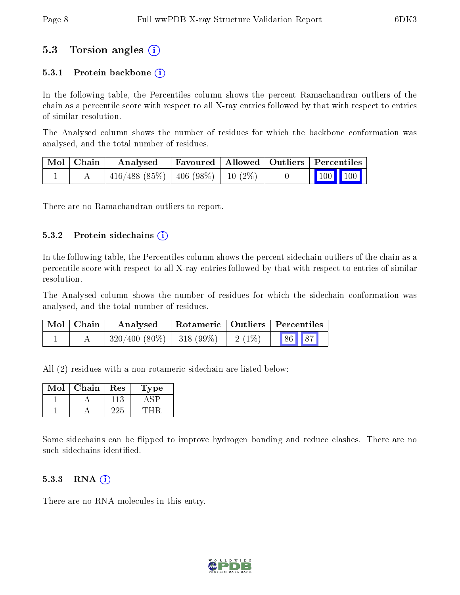### 5.3 Torsion angles (i)

#### 5.3.1 Protein backbone  $(i)$

In the following table, the Percentiles column shows the percent Ramachandran outliers of the chain as a percentile score with respect to all X-ray entries followed by that with respect to entries of similar resolution.

The Analysed column shows the number of residues for which the backbone conformation was analysed, and the total number of residues.

| Mol   Chain | Analysed                              | Favoured   Allowed   Outliers   Percentiles |  |  |                                                          |  |
|-------------|---------------------------------------|---------------------------------------------|--|--|----------------------------------------------------------|--|
|             | $416/488$ (85%)   406 (98%)   10 (2%) |                                             |  |  | $\begin{array}{ c c c }\n\hline\n100 & 100\n\end{array}$ |  |

There are no Ramachandran outliers to report.

#### $5.3.2$  Protein sidechains  $(i)$

In the following table, the Percentiles column shows the percent sidechain outliers of the chain as a percentile score with respect to all X-ray entries followed by that with respect to entries of similar resolution.

The Analysed column shows the number of residues for which the sidechain conformation was analysed, and the total number of residues.

| Mol   Chain | Analysed                          | Rotameric   Outliers   Percentiles |  |                |  |
|-------------|-----------------------------------|------------------------------------|--|----------------|--|
|             | $320/400$ $(80\%)$   318 $(99\%)$ |                                    |  | $2(1\%)$ 86 87 |  |

All (2) residues with a non-rotameric sidechain are listed below:

| Mol | Chain | Res | 1'ype |
|-----|-------|-----|-------|
|     |       |     |       |
|     |       |     |       |

Some sidechains can be flipped to improve hydrogen bonding and reduce clashes. There are no such sidechains identified.

#### 5.3.3 RNA (1)

There are no RNA molecules in this entry.

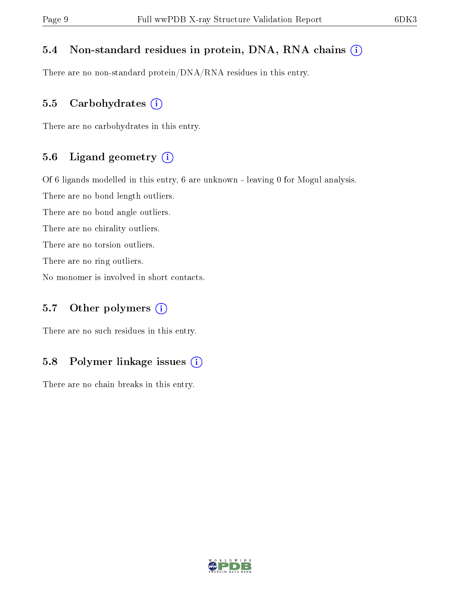### 5.4 Non-standard residues in protein, DNA, RNA chains (i)

There are no non-standard protein/DNA/RNA residues in this entry.

#### 5.5 Carbohydrates  $(i)$

There are no carbohydrates in this entry.

#### 5.6 Ligand geometry (i)

Of 6 ligands modelled in this entry, 6 are unknown - leaving 0 for Mogul analysis.

There are no bond length outliers.

There are no bond angle outliers.

There are no chirality outliers.

There are no torsion outliers.

There are no ring outliers.

No monomer is involved in short contacts.

### 5.7 [O](https://www.wwpdb.org/validation/2017/XrayValidationReportHelp#nonstandard_residues_and_ligands)ther polymers  $(i)$

There are no such residues in this entry.

### 5.8 Polymer linkage issues  $(i)$

There are no chain breaks in this entry.

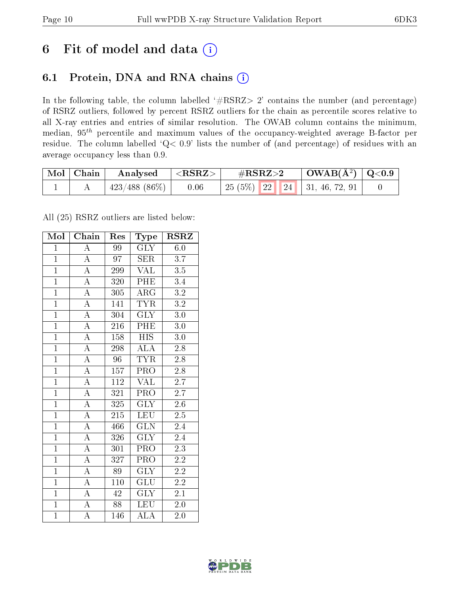### 6 Fit of model and data  $(i)$

### 6.1 Protein, DNA and RNA chains  $(i)$

In the following table, the column labelled  $#RSRZ> 2'$  contains the number (and percentage) of RSRZ outliers, followed by percent RSRZ outliers for the chain as percentile scores relative to all X-ray entries and entries of similar resolution. The OWAB column contains the minimum, median,  $95<sup>th</sup>$  percentile and maximum values of the occupancy-weighted average B-factor per residue. The column labelled ' $Q< 0.9$ ' lists the number of (and percentage) of residues with an average occupancy less than 0.9.

| Mol Chain | Analysed                    | $  <$ RSRZ $>$ | $\rm \#RSRZ{>}2$                   | $\mid$ OWAB( $A^2$ ) $\mid$ Q<0.9 |  |
|-----------|-----------------------------|----------------|------------------------------------|-----------------------------------|--|
|           | $\mid$ 423/488 (86%) $\mid$ | 0.06           | 25 (5%)   22   24   31, 46, 72, 91 |                                   |  |

All (25) RSRZ outliers are listed below:

| Mol            | Chain              | Res              | <b>Type</b>             | <b>RSRZ</b>      |
|----------------|--------------------|------------------|-------------------------|------------------|
| $\mathbf{1}$   | A                  | 99               | <b>GLY</b>              | 6.0              |
| $\overline{1}$ | $\overline{\rm A}$ | 97               | <b>SER</b>              | 3.7              |
| $\overline{1}$ | $\overline{A}$     | 299              | <b>VAL</b>              | $3.5\,$          |
| $\overline{1}$ | $\overline{A}$     | 320              | PHE                     | 3.4              |
| $\overline{1}$ | $\overline{A}$     | $\overline{305}$ | $\overline{\rm{ARG}}$   | $\overline{3.2}$ |
| $\overline{1}$ | $\overline{\rm A}$ | 141              | <b>TYR</b>              | $\overline{3.2}$ |
| $\overline{1}$ | $\overline{A}$     | 304              | $\overline{\text{GLY}}$ | 3.0              |
| $\overline{1}$ | $\overline{A}$     | 216              | PHE                     | $3.0\,$          |
| $\overline{1}$ | $\overline{\rm A}$ | 158              | <b>HIS</b>              | 3.0              |
| $\overline{1}$ | $\overline{A}$     | 298              | $\overline{\rm ALA}$    | 2.8              |
| $\overline{1}$ | $\overline{\rm A}$ | 96               | <b>TYR</b>              | $2.8\,$          |
| $\overline{1}$ | $\overline{A}$     | $\overline{157}$ | $\overline{\text{PRO}}$ | $\overline{2.8}$ |
| $\overline{1}$ | $\overline{\rm A}$ | 112              | <b>VAL</b>              | 2.7              |
| $\overline{1}$ | $\overline{A}$     | $\overline{321}$ | $\overline{\text{PRO}}$ | $\overline{2.7}$ |
| $\overline{1}$ | $\overline{A}$     | 325              | $\overline{\text{GLY}}$ | $\overline{2.6}$ |
| $\overline{1}$ | $\overline{A}$     | 215              | $\overline{\text{LEU}}$ | $2.\overline{5}$ |
| $\overline{1}$ | $\overline{A}$     | 466              | $\overline{\text{GLN}}$ | 2.4              |
| $\overline{1}$ | $\overline{\rm A}$ | 326              | $\overline{\text{GLY}}$ | 2.4              |
| $\overline{1}$ | $\overline{A}$     | 301              | <b>PRO</b>              | 2.3              |
| $\mathbf{1}$   | $\overline{A}$     | 327              | PRO                     | $2.2\,$          |
| $\overline{1}$ | $\overline{\rm A}$ | 89               | <b>GLY</b>              | $2.2\,$          |
| $\overline{1}$ | $\overline{\rm A}$ | 110              | GLU                     | 2.2              |
| $\overline{1}$ | $\overline{\rm A}$ | 42               | <b>GLY</b>              | 2.1              |
| $\overline{1}$ | $\overline{\rm A}$ | $\overline{88}$  | <b>LEU</b>              | $2.0\,$          |
| $\mathbf{1}$   | $\overline{\rm A}$ | 146              | <b>ALA</b>              | 2.0              |